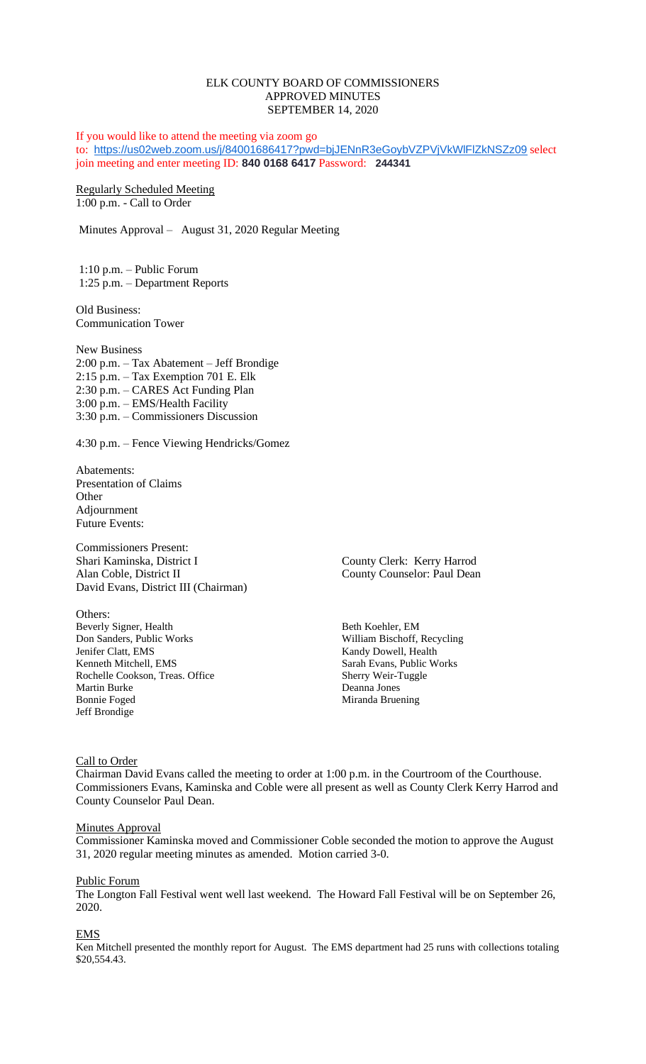# ELK COUNTY BOARD OF COMMISSIONERS APPROVED MINUTES SEPTEMBER 14, 2020

If you would like to attend the meeting via zoom go to: <https://us02web.zoom.us/j/84001686417?pwd=bjJENnR3eGoybVZPVjVkWlFlZkNSZz09> select join meeting and enter meeting ID: **840 0168 6417** Password: **244341**

Regularly Scheduled Meeting 1:00 p.m. - Call to Order

Minutes Approval – August 31, 2020 Regular Meeting

1:10 p.m. – Public Forum 1:25 p.m. – Department Reports

Old Business: Communication Tower

New Business 2:00 p.m. – Tax Abatement – Jeff Brondige 2:15 p.m. – Tax Exemption 701 E. Elk 2:30 p.m. – CARES Act Funding Plan 3:00 p.m. – EMS/Health Facility 3:30 p.m. – Commissioners Discussion

4:30 p.m. – Fence Viewing Hendricks/Gomez

Abatements: Presentation of Claims **Other** Adjournment Future Events:

Commissioners Present: Shari Kaminska, District I County Clerk: Kerry Harrod Alan Coble, District II County Counselor: Paul Dean David Evans, District III (Chairman)

Others: Beverly Signer, Health Beth Koehler, EM<br>
Don Sanders, Public Works William Bischoff, 1 Jenifer Clatt, EMS Kandy Dowell, Health Kenneth Mitchell, EMS<br>
Rochelle Cookson, Treas. Office<br>
Sherry Weir-Tuggle Rochelle Cookson, Treas. Office Martin Burke Deanna Jones Jeff Brondige

William Bischoff, Recycling Miranda Bruening

Call to Order

Chairman David Evans called the meeting to order at 1:00 p.m. in the Courtroom of the Courthouse. Commissioners Evans, Kaminska and Coble were all present as well as County Clerk Kerry Harrod and County Counselor Paul Dean.

#### **Minutes Approval**

Commissioner Kaminska moved and Commissioner Coble seconded the motion to approve the August 31, 2020 regular meeting minutes as amended. Motion carried 3-0.

#### Public Forum

The Longton Fall Festival went well last weekend. The Howard Fall Festival will be on September 26, 2020.

#### EMS

Ken Mitchell presented the monthly report for August. The EMS department had 25 runs with collections totaling \$20,554.43.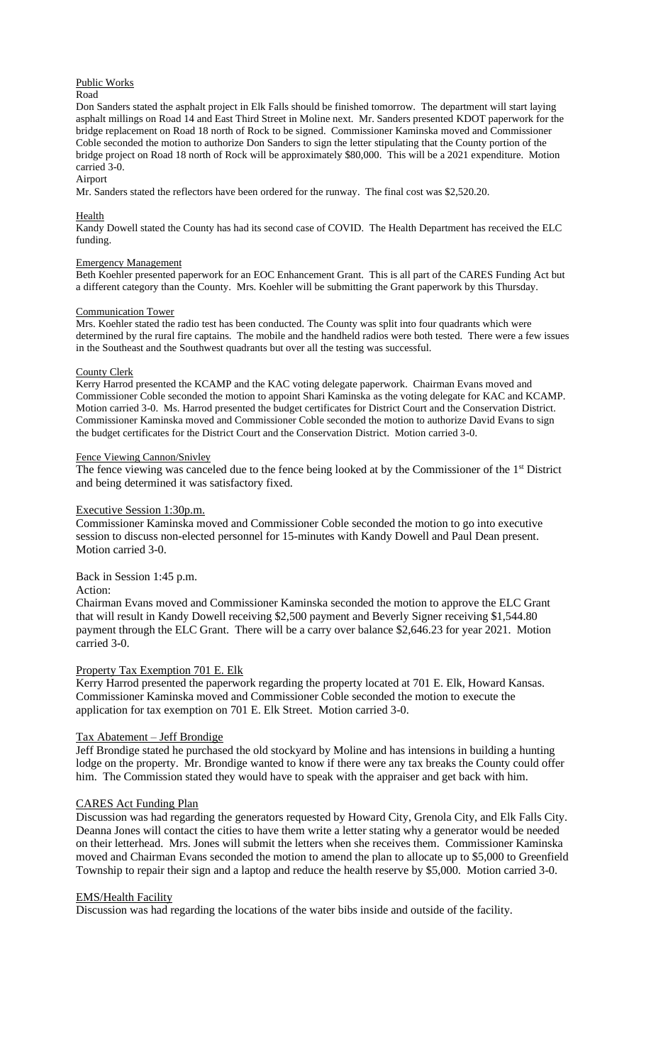### Public Works

Road

Don Sanders stated the asphalt project in Elk Falls should be finished tomorrow. The department will start laying asphalt millings on Road 14 and East Third Street in Moline next. Mr. Sanders presented KDOT paperwork for the bridge replacement on Road 18 north of Rock to be signed. Commissioner Kaminska moved and Commissioner Coble seconded the motion to authorize Don Sanders to sign the letter stipulating that the County portion of the bridge project on Road 18 north of Rock will be approximately \$80,000. This will be a 2021 expenditure. Motion carried 3-0. Airport

Mr. Sanders stated the reflectors have been ordered for the runway. The final cost was \$2,520.20.

### Health

Kandy Dowell stated the County has had its second case of COVID. The Health Department has received the ELC funding.

#### Emergency Management

Beth Koehler presented paperwork for an EOC Enhancement Grant. This is all part of the CARES Funding Act but a different category than the County. Mrs. Koehler will be submitting the Grant paperwork by this Thursday.

#### Communication Tower

Mrs. Koehler stated the radio test has been conducted. The County was split into four quadrants which were determined by the rural fire captains. The mobile and the handheld radios were both tested. There were a few issues in the Southeast and the Southwest quadrants but over all the testing was successful.

### County Clerk

Kerry Harrod presented the KCAMP and the KAC voting delegate paperwork. Chairman Evans moved and Commissioner Coble seconded the motion to appoint Shari Kaminska as the voting delegate for KAC and KCAMP. Motion carried 3-0. Ms. Harrod presented the budget certificates for District Court and the Conservation District. Commissioner Kaminska moved and Commissioner Coble seconded the motion to authorize David Evans to sign the budget certificates for the District Court and the Conservation District. Motion carried 3-0.

### Fence Viewing Cannon/Snivley

The fence viewing was canceled due to the fence being looked at by the Commissioner of the 1<sup>st</sup> District and being determined it was satisfactory fixed.

### Executive Session 1:30p.m.

Commissioner Kaminska moved and Commissioner Coble seconded the motion to go into executive session to discuss non-elected personnel for 15-minutes with Kandy Dowell and Paul Dean present. Motion carried 3-0.

# Back in Session 1:45 p.m.

#### Action:

Chairman Evans moved and Commissioner Kaminska seconded the motion to approve the ELC Grant that will result in Kandy Dowell receiving \$2,500 payment and Beverly Signer receiving \$1,544.80 payment through the ELC Grant. There will be a carry over balance \$2,646.23 for year 2021. Motion carried 3-0.

# Property Tax Exemption 701 E. Elk

Kerry Harrod presented the paperwork regarding the property located at 701 E. Elk, Howard Kansas. Commissioner Kaminska moved and Commissioner Coble seconded the motion to execute the application for tax exemption on 701 E. Elk Street. Motion carried 3-0.

# Tax Abatement – Jeff Brondige

Jeff Brondige stated he purchased the old stockyard by Moline and has intensions in building a hunting lodge on the property. Mr. Brondige wanted to know if there were any tax breaks the County could offer him. The Commission stated they would have to speak with the appraiser and get back with him.

# CARES Act Funding Plan

Discussion was had regarding the generators requested by Howard City, Grenola City, and Elk Falls City. Deanna Jones will contact the cities to have them write a letter stating why a generator would be needed on their letterhead. Mrs. Jones will submit the letters when she receives them. Commissioner Kaminska moved and Chairman Evans seconded the motion to amend the plan to allocate up to \$5,000 to Greenfield Township to repair their sign and a laptop and reduce the health reserve by \$5,000. Motion carried 3-0.

# EMS/Health Facility

Discussion was had regarding the locations of the water bibs inside and outside of the facility.